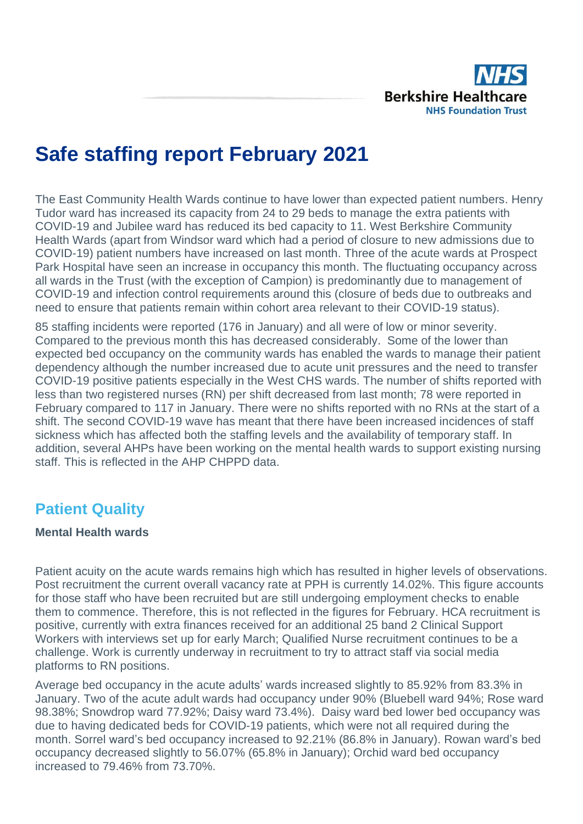

# **Safe staffing report February 2021**

The East Community Health Wards continue to have lower than expected patient numbers. Henry Tudor ward has increased its capacity from 24 to 29 beds to manage the extra patients with COVID-19 and Jubilee ward has reduced its bed capacity to 11. West Berkshire Community Health Wards (apart from Windsor ward which had a period of closure to new admissions due to COVID-19) patient numbers have increased on last month. Three of the acute wards at Prospect Park Hospital have seen an increase in occupancy this month. The fluctuating occupancy across all wards in the Trust (with the exception of Campion) is predominantly due to management of COVID-19 and infection control requirements around this (closure of beds due to outbreaks and need to ensure that patients remain within cohort area relevant to their COVID-19 status).

85 staffing incidents were reported (176 in January) and all were of low or minor severity. Compared to the previous month this has decreased considerably. Some of the lower than expected bed occupancy on the community wards has enabled the wards to manage their patient dependency although the number increased due to acute unit pressures and the need to transfer COVID-19 positive patients especially in the West CHS wards. The number of shifts reported with less than two registered nurses (RN) per shift decreased from last month; 78 were reported in February compared to 117 in January. There were no shifts reported with no RNs at the start of a shift. The second COVID-19 wave has meant that there have been increased incidences of staff sickness which has affected both the staffing levels and the availability of temporary staff. In addition, several AHPs have been working on the mental health wards to support existing nursing staff. This is reflected in the AHP CHPPD data.

## **Patient Quality**

#### **Mental Health wards**

Patient acuity on the acute wards remains high which has resulted in higher levels of observations. Post recruitment the current overall vacancy rate at PPH is currently 14.02%. This figure accounts for those staff who have been recruited but are still undergoing employment checks to enable them to commence. Therefore, this is not reflected in the figures for February. HCA recruitment is positive, currently with extra finances received for an additional 25 band 2 Clinical Support Workers with interviews set up for early March; Qualified Nurse recruitment continues to be a challenge. Work is currently underway in recruitment to try to attract staff via social media platforms to RN positions.

Average bed occupancy in the acute adults' wards increased slightly to 85.92% from 83.3% in January. Two of the acute adult wards had occupancy under 90% (Bluebell ward 94%; Rose ward 98.38%; Snowdrop ward 77.92%; Daisy ward 73.4%). Daisy ward bed lower bed occupancy was due to having dedicated beds for COVID-19 patients, which were not all required during the month. Sorrel ward's bed occupancy increased to 92.21% (86.8% in January). Rowan ward's bed occupancy decreased slightly to 56.07% (65.8% in January); Orchid ward bed occupancy increased to 79.46% from 73.70%.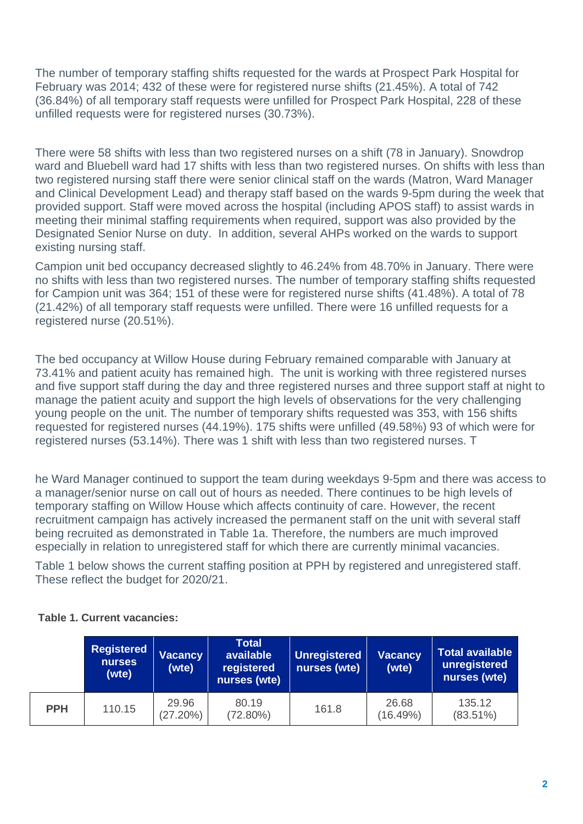The number of temporary staffing shifts requested for the wards at Prospect Park Hospital for February was 2014; 432 of these were for registered nurse shifts (21.45%). A total of 742 (36.84%) of all temporary staff requests were unfilled for Prospect Park Hospital, 228 of these unfilled requests were for registered nurses (30.73%).

There were 58 shifts with less than two registered nurses on a shift (78 in January). Snowdrop ward and Bluebell ward had 17 shifts with less than two registered nurses. On shifts with less than two registered nursing staff there were senior clinical staff on the wards (Matron, Ward Manager and Clinical Development Lead) and therapy staff based on the wards 9-5pm during the week that provided support. Staff were moved across the hospital (including APOS staff) to assist wards in meeting their minimal staffing requirements when required, support was also provided by the Designated Senior Nurse on duty. In addition, several AHPs worked on the wards to support existing nursing staff.

Campion unit bed occupancy decreased slightly to 46.24% from 48.70% in January. There were no shifts with less than two registered nurses. The number of temporary staffing shifts requested for Campion unit was 364; 151 of these were for registered nurse shifts (41.48%). A total of 78 (21.42%) of all temporary staff requests were unfilled. There were 16 unfilled requests for a registered nurse (20.51%).

The bed occupancy at Willow House during February remained comparable with January at 73.41% and patient acuity has remained high. The unit is working with three registered nurses and five support staff during the day and three registered nurses and three support staff at night to manage the patient acuity and support the high levels of observations for the very challenging young people on the unit. The number of temporary shifts requested was 353, with 156 shifts requested for registered nurses (44.19%). 175 shifts were unfilled (49.58%) 93 of which were for registered nurses (53.14%). There was 1 shift with less than two registered nurses. T

he Ward Manager continued to support the team during weekdays 9-5pm and there was access to a manager/senior nurse on call out of hours as needed. There continues to be high levels of temporary staffing on Willow House which affects continuity of care. However, the recent recruitment campaign has actively increased the permanent staff on the unit with several staff being recruited as demonstrated in Table 1a. Therefore, the numbers are much improved especially in relation to unregistered staff for which there are currently minimal vacancies.

Table 1 below shows the current staffing position at PPH by registered and unregistered staff. These reflect the budget for 2020/21.

|            | <b>Registered</b><br><b>Vacancy</b><br>nurses<br>(wte)<br>(wte) |                      | <b>Total</b><br>available<br>registered<br>nurses (wte) | <b>Unregistered</b><br>nurses (wte) | <b>Vacancy</b><br>(wte) | <b>Total available</b><br>unregistered<br>nurses (wte) |  |  |
|------------|-----------------------------------------------------------------|----------------------|---------------------------------------------------------|-------------------------------------|-------------------------|--------------------------------------------------------|--|--|
| <b>PPH</b> | 110.15                                                          | 29.96<br>$(27.20\%)$ | 80.19<br>$(72.80\%)$                                    | 161.8                               | 26.68<br>(16.49%)       | 135.12<br>$(83.51\%)$                                  |  |  |

#### **Table 1. Current vacancies:**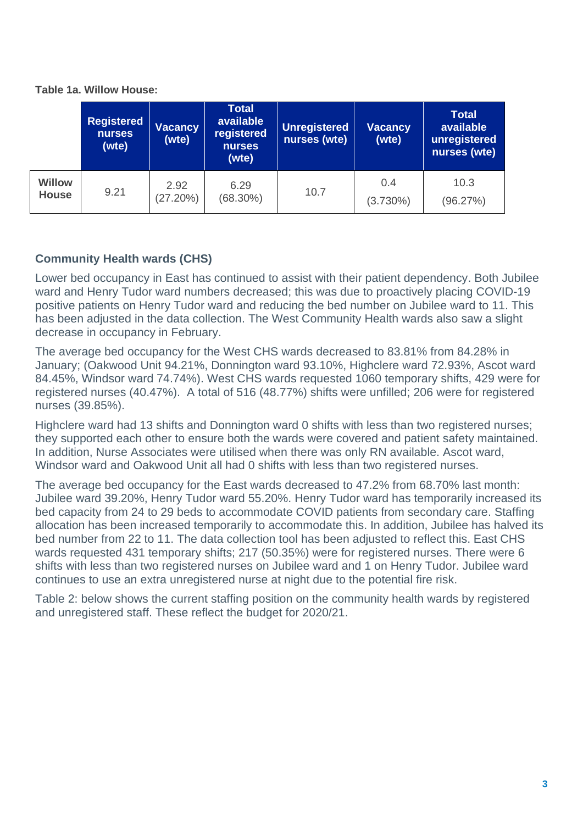|                        | <b>Registered</b><br>nurses<br>(wte) | <b>Vacancy</b><br>(wte) | <b>Total</b><br>available<br>registered<br>nurses<br>(wte) | <b>Unregistered</b><br>nurses (wte) | <b>Vacancy</b><br>(wte) | <b>Total</b><br>available<br>unregister<br>nurses (wt |  |
|------------------------|--------------------------------------|-------------------------|------------------------------------------------------------|-------------------------------------|-------------------------|-------------------------------------------------------|--|
| Willow<br><b>House</b> | 9.21                                 | 2.92<br>(27.20%)        | 6.29<br>$(68.30\%)$                                        | 10.7                                | 0.4<br>$(3.730\%)$      | 10.3<br>(96.27%)                                      |  |

**Table 1a. Willow House:**

### **Community Health wards (CHS)**

Lower bed occupancy in East has continued to assist with their patient dependency. Both Jubilee ward and Henry Tudor ward numbers decreased; this was due to proactively placing COVID-19 positive patients on Henry Tudor ward and reducing the bed number on Jubilee ward to 11. This has been adjusted in the data collection. The West Community Health wards also saw a slight decrease in occupancy in February.

The average bed occupancy for the West CHS wards decreased to 83.81% from 84.28% in January; (Oakwood Unit 94.21%, Donnington ward 93.10%, Highclere ward 72.93%, Ascot ward 84.45%, Windsor ward 74.74%). West CHS wards requested 1060 temporary shifts, 429 were for registered nurses (40.47%). A total of 516 (48.77%) shifts were unfilled; 206 were for registered nurses (39.85%).

Highclere ward had 13 shifts and Donnington ward 0 shifts with less than two registered nurses; they supported each other to ensure both the wards were covered and patient safety maintained. In addition, Nurse Associates were utilised when there was only RN available. Ascot ward, Windsor ward and Oakwood Unit all had 0 shifts with less than two registered nurses.

The average bed occupancy for the East wards decreased to 47.2% from 68.70% last month: Jubilee ward 39.20%, Henry Tudor ward 55.20%. Henry Tudor ward has temporarily increased its bed capacity from 24 to 29 beds to accommodate COVID patients from secondary care. Staffing allocation has been increased temporarily to accommodate this. In addition, Jubilee has halved its bed number from 22 to 11. The data collection tool has been adjusted to reflect this. East CHS wards requested 431 temporary shifts; 217 (50.35%) were for registered nurses. There were 6 shifts with less than two registered nurses on Jubilee ward and 1 on Henry Tudor. Jubilee ward continues to use an extra unregistered nurse at night due to the potential fire risk.

Table 2: below shows the current staffing position on the community health wards by registered and unregistered staff. These reflect the budget for 2020/21.

**Total**  able **u**stered (wte)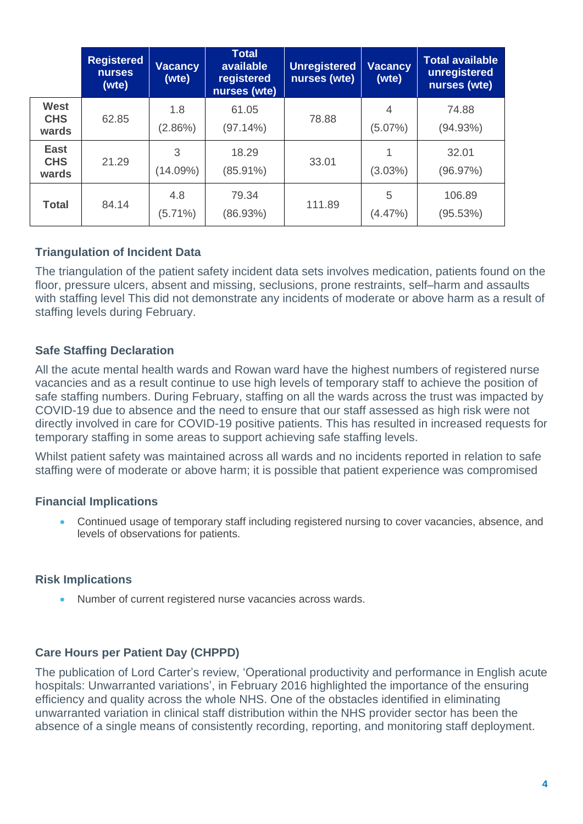|                                    | <b>Registered</b><br><b>nurses</b><br>(wte) | Vacancy<br>(wte)  | <b>Total</b><br>available<br>registered<br>nurses (wte) | <b>Unregistered</b><br>nurses (wte) | <b>Vacancy</b><br>(wte) | <b>Total available</b><br>unregistered<br>nurses (wte) |
|------------------------------------|---------------------------------------------|-------------------|---------------------------------------------------------|-------------------------------------|-------------------------|--------------------------------------------------------|
| <b>West</b><br><b>CHS</b><br>wards | 62.85                                       | 1.8<br>$(2.86\%)$ | 61.05<br>(97.14%)                                       | 78.88                               | 4<br>(5.07%)            | 74.88<br>(94.93%)                                      |
| <b>East</b><br><b>CHS</b><br>wards | 21.29                                       | 3<br>(14.09%)     | 18.29<br>$(85.91\%)$                                    | 33.01                               | 1<br>$(3.03\%)$         | 32.01<br>(96.97%)                                      |
| <b>Total</b>                       | 84.14                                       | 4.8<br>$(5.71\%)$ | 79.34<br>(86.93%)                                       | 111.89                              | 5<br>$(4.47\%)$         | 106.89<br>(95.53%)                                     |

#### **Triangulation of Incident Data**

The triangulation of the patient safety incident data sets involves medication, patients found on the floor, pressure ulcers, absent and missing, seclusions, prone restraints, self–harm and assaults with staffing level This did not demonstrate any incidents of moderate or above harm as a result of staffing levels during February.

#### **Safe Staffing Declaration**

All the acute mental health wards and Rowan ward have the highest numbers of registered nurse vacancies and as a result continue to use high levels of temporary staff to achieve the position of safe staffing numbers. During February, staffing on all the wards across the trust was impacted by COVID-19 due to absence and the need to ensure that our staff assessed as high risk were not directly involved in care for COVID-19 positive patients. This has resulted in increased requests for temporary staffing in some areas to support achieving safe staffing levels.

Whilst patient safety was maintained across all wards and no incidents reported in relation to safe staffing were of moderate or above harm; it is possible that patient experience was compromised

#### **Financial Implications**

• Continued usage of temporary staff including registered nursing to cover vacancies, absence, and levels of observations for patients.

#### **Risk Implications**

• Number of current registered nurse vacancies across wards.

#### **Care Hours per Patient Day (CHPPD)**

The publication of Lord Carter's review, 'Operational productivity and performance in English acute hospitals: Unwarranted variations', in February 2016 highlighted the importance of the ensuring efficiency and quality across the whole NHS. One of the obstacles identified in eliminating unwarranted variation in clinical staff distribution within the NHS provider sector has been the absence of a single means of consistently recording, reporting, and monitoring staff deployment.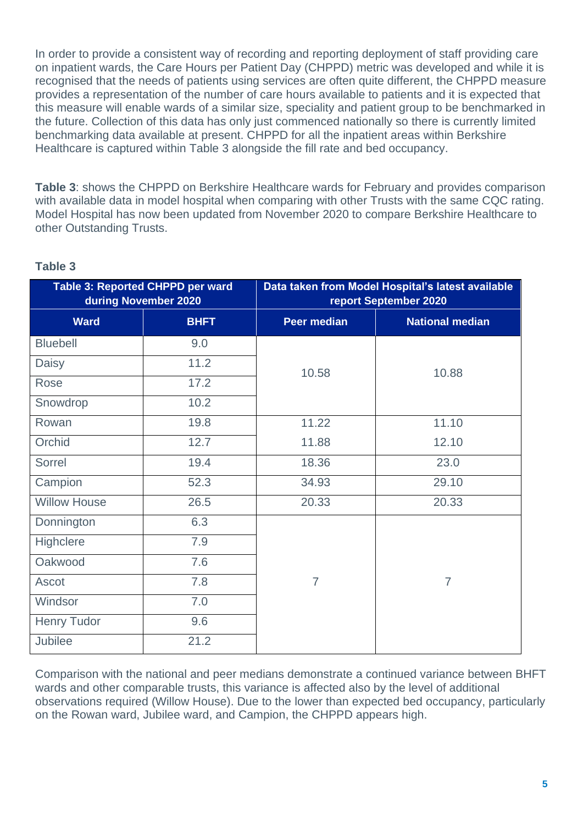In order to provide a consistent way of recording and reporting deployment of staff providing care on inpatient wards, the Care Hours per Patient Day (CHPPD) metric was developed and while it is recognised that the needs of patients using services are often quite different, the CHPPD measure provides a representation of the number of care hours available to patients and it is expected that this measure will enable wards of a similar size, speciality and patient group to be benchmarked in the future. Collection of this data has only just commenced nationally so there is currently limited benchmarking data available at present. CHPPD for all the inpatient areas within Berkshire Healthcare is captured within Table 3 alongside the fill rate and bed occupancy.

**Table 3**: shows the CHPPD on Berkshire Healthcare wards for February and provides comparison with available data in model hospital when comparing with other Trusts with the same CQC rating. Model Hospital has now been updated from November 2020 to compare Berkshire Healthcare to other Outstanding Trusts.

|                     | <b>Table 3: Reported CHPPD per ward</b><br>during November 2020 | Data taken from Model Hospital's latest available<br>report September 2020 |                        |  |  |  |  |  |  |  |
|---------------------|-----------------------------------------------------------------|----------------------------------------------------------------------------|------------------------|--|--|--|--|--|--|--|
| <b>Ward</b>         | <b>BHFT</b>                                                     | <b>Peer median</b>                                                         | <b>National median</b> |  |  |  |  |  |  |  |
| <b>Bluebell</b>     | 9.0                                                             |                                                                            |                        |  |  |  |  |  |  |  |
| <b>Daisy</b>        | 11.2                                                            | 10.58                                                                      | 10.88                  |  |  |  |  |  |  |  |
| Rose                | 17.2                                                            |                                                                            |                        |  |  |  |  |  |  |  |
| Snowdrop            | 10.2                                                            |                                                                            |                        |  |  |  |  |  |  |  |
| Rowan               | 19.8                                                            | 11.22                                                                      | 11.10                  |  |  |  |  |  |  |  |
| Orchid              | 12.7                                                            | 11.88                                                                      | 12.10                  |  |  |  |  |  |  |  |
| Sorrel              | 19.4                                                            | 18.36                                                                      | 23.0                   |  |  |  |  |  |  |  |
| Campion             | 52.3                                                            | 34.93                                                                      | 29.10                  |  |  |  |  |  |  |  |
| <b>Willow House</b> | 26.5                                                            | 20.33                                                                      | 20.33                  |  |  |  |  |  |  |  |
| Donnington          | 6.3                                                             |                                                                            |                        |  |  |  |  |  |  |  |
| Highclere           | 7.9                                                             |                                                                            |                        |  |  |  |  |  |  |  |
| Oakwood             | 7.6                                                             |                                                                            |                        |  |  |  |  |  |  |  |
| <b>Ascot</b>        | 7.8                                                             | $\overline{7}$                                                             | $\overline{7}$         |  |  |  |  |  |  |  |
| Windsor             | 7.0                                                             |                                                                            |                        |  |  |  |  |  |  |  |
| <b>Henry Tudor</b>  | 9.6                                                             |                                                                            |                        |  |  |  |  |  |  |  |
| <b>Jubilee</b>      | 21.2                                                            |                                                                            |                        |  |  |  |  |  |  |  |

#### **Table 3**

Comparison with the national and peer medians demonstrate a continued variance between BHFT wards and other comparable trusts, this variance is affected also by the level of additional observations required (Willow House). Due to the lower than expected bed occupancy, particularly on the Rowan ward, Jubilee ward, and Campion, the CHPPD appears high.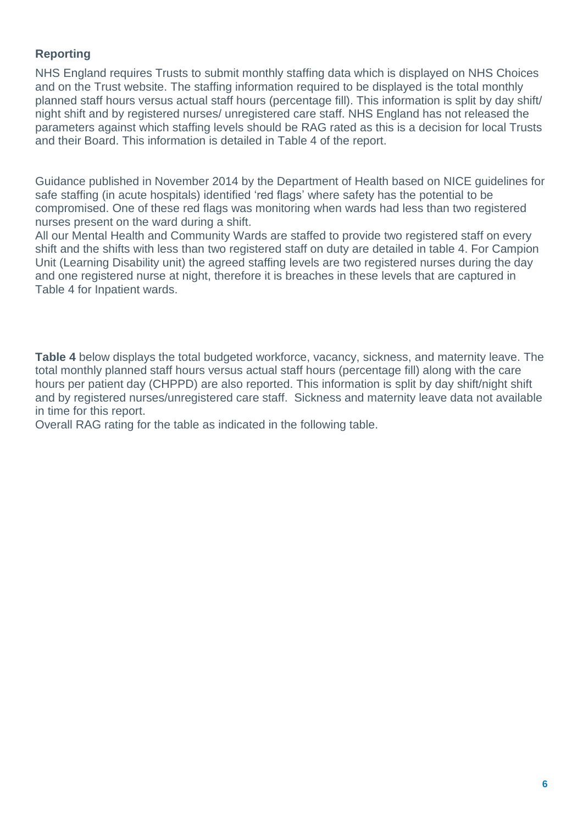#### **Reporting**

NHS England requires Trusts to submit monthly staffing data which is displayed on NHS Choices and on the Trust website. The staffing information required to be displayed is the total monthly planned staff hours versus actual staff hours (percentage fill). This information is split by day shift/ night shift and by registered nurses/ unregistered care staff. NHS England has not released the parameters against which staffing levels should be RAG rated as this is a decision for local Trusts and their Board. This information is detailed in Table 4 of the report.

Guidance published in November 2014 by the Department of Health based on NICE guidelines for safe staffing (in acute hospitals) identified 'red flags' where safety has the potential to be compromised. One of these red flags was monitoring when wards had less than two registered nurses present on the ward during a shift.

All our Mental Health and Community Wards are staffed to provide two registered staff on every shift and the shifts with less than two registered staff on duty are detailed in table 4. For Campion Unit (Learning Disability unit) the agreed staffing levels are two registered nurses during the day and one registered nurse at night, therefore it is breaches in these levels that are captured in Table 4 for Inpatient wards.

**Table 4** below displays the total budgeted workforce, vacancy, sickness, and maternity leave. The total monthly planned staff hours versus actual staff hours (percentage fill) along with the care hours per patient day (CHPPD) are also reported. This information is split by day shift/night shift and by registered nurses/unregistered care staff. Sickness and maternity leave data not available in time for this report.

Overall RAG rating for the table as indicated in the following table.